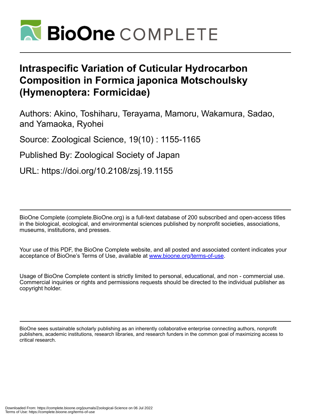

# **Intraspecific Variation of Cuticular Hydrocarbon Composition in Formica japonica Motschoulsky (Hymenoptera: Formicidae)**

Authors: Akino, Toshiharu, Terayama, Mamoru, Wakamura, Sadao, and Yamaoka, Ryohei

Source: Zoological Science, 19(10) : 1155-1165

Published By: Zoological Society of Japan

URL: https://doi.org/10.2108/zsj.19.1155

BioOne Complete (complete.BioOne.org) is a full-text database of 200 subscribed and open-access titles in the biological, ecological, and environmental sciences published by nonprofit societies, associations, museums, institutions, and presses.

Your use of this PDF, the BioOne Complete website, and all posted and associated content indicates your acceptance of BioOne's Terms of Use, available at www.bioone.org/terms-of-use.

Usage of BioOne Complete content is strictly limited to personal, educational, and non - commercial use. Commercial inquiries or rights and permissions requests should be directed to the individual publisher as copyright holder.

BioOne sees sustainable scholarly publishing as an inherently collaborative enterprise connecting authors, nonprofit publishers, academic institutions, research libraries, and research funders in the common goal of maximizing access to critical research.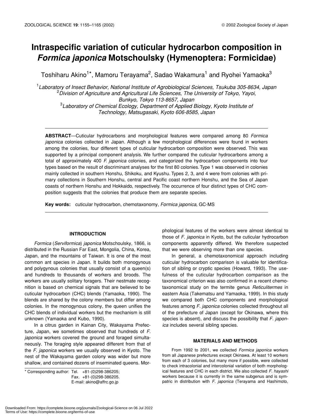# **Intraspecific variation of cuticular hydrocarbon composition in**  *Formica japonica* **Motschoulsky (Hymenoptera: Formicidae)**

Toshiharu Akino $^{1*}$ , Mamoru Terayama $^{2}$ , Sadao Wakamura $^{1}$  and Ryohei Yamaoka $^{3}$ 

1 *Laboratory of Insect Behavior, National Institute of Agrobiological Sciences, Tsukuba 305-8634, Japan* 2 *Division of Agriculture and Agricultural Life Sciences, The University of Tokyo, Yayoi, Bunkyo, Tokyo 113-8657, Japan* 3 *Laboratory of Chemical Ecology, Department of Applied Biology, Kyoto Institute of Technology, Matsugasaki, Kyoto 606-8585, Japan*

**ABSTRACT**—Cuticular hydrocarbons and morphological features were compared among 80 *Formica japonica* colonies collected in Japan. Although a few morphological differences were found in workers among the colonies, four different types of cuticular hydrocarbon composition were observed. This was supported by a principal component analysis. We further compared the cuticular hydrocarbons among a total of approximately 400 *F. japonica* colonies, and categorized the hydrocarbon components into four types based on the result of discriminant analyses for the first 80 colonies. Type 1 was observed in colonies mainly collected in southern Honshu, Shikoku, and Kyushu. Types 2, 3, and 4 were from colonies with primary collections in Southern Honshu, central and Pacific coast northern Honshu, and the Sea of Japan coasts of northern Honshu and Hokkaido, respectively. The occurrence of four distinct types of CHC composition suggests that the colonies that produce them are separate species.

**Key words:** cuticular hydrocarbon, chemotaxonomy, *Formica japonica*, GC-MS

### **INTRODUCTION**

*Formica* (*Serviformica*) *japonica* Motschoulsky, 1866, is distributed in the Russian Far East, Mongolia, China, Korea, Japan, and the mountains of Taiwan. It is one of the most common ant species in Japan. It builds both monogynous and polygynous colonies that usually consist of a queen(s) and hundreds to thousands of workers and broods. The workers are usually solitary foragers. Their nestmate recognition is based on chemical signals that are believed to be cuticular hydrocarbon (CHC) blends (Yamaoka, 1990). The blends are shared by the colony members but differ among colonies. In the monogynous colony, the queen unifies the CHC blends of individual workers but the mechanism is still unknown (Yamaoka and Kubo, 1990).

In a citrus garden in Kainan City, Wakayama Prefecture, Japan, we sometimes observed that hundreds of *F. japonica* workers covered the ground and foraged simultaneously. The foraging style appeared different from that of the *F. japonica* workers we usually observed in Kyoto. The nest of the Wakayama garden colony was wider but more shallow, and contained dozens of inseminated queens. Mor-

\* Corresponding author: Tel. +81-(0)298-386205; Fax. +81-(0)298-386205. E-mail: akino@affrc.go.jp

phological features of the workers were almost identical to those of *F. japonica* in Kyoto, but the cuticular hydrocarbon components apparently differed. We therefore suspected that we were observing more than one species.

In general, a chemotaxonomical approach including cuticular hydrocarbon comparison is valuable for identification of sibling or cryptic species (Howard, 1993). The usefulness of the cuticular hydrocarbon comparison as the taxonomical criterion was also confirmed in a recent chemotaxonomical study on the termite genus *Reticulitermes* in eastern Asia (Takematsu and Yamaoka, 1999). In this study we compared both CHC components and morphological features among *F. japonica* colonies collected throughout all of the prefecture of Japan (except for Okinawa, where this species is absent), and discuss the possibility that *F. japonica* includes several sibling species.

#### **MATERIALS AND METHODS**

From 1992 to 2001, we collected *Formica japonica* workers from all Japanese prefectures except Okinawa. At least 10 workers from each of 3 colonies, but many more if possible, were collected to check intracolonial and intercolonial variation of both morphological features and CHC in each district. We also collected *F. hayashi* workers because it is currently in the same subgenus and is sympatric in distribution with *F. japonica* (Terayama and Hashimoto,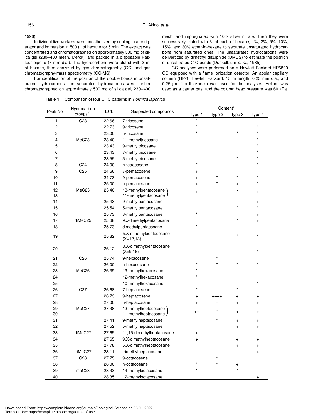1996).

Individual live workers were anesthetized by cooling in a refrigerator and immersion in 500 µl of hexane for 5 min. The extract was concentrated and chromatographed on approximately 500 mg of silica gel (230–400 mesh, Merck), and packed in a disposable Pasteur pipette (7 mm dia.). The hydrocarbons were eluted with 3 ml of hexane, then analyzed by gas chromatography (GC) and gas chromatography-mass spectrometry (GC-MS).

For identification of the position of the double bonds in unsaturated hydrocarbons, the separated hydrocarbons were further chromatographed on approximately 500 mg of silica gel, 230–400 mesh, and impregnated with 10% silver nitrate. Then they were successively eluted with 3 ml each of hexane, 1%, 2%, 5%, 10%, 15%, and 30% ether-in-hexane to separate unsaturated hydrocarbons from saturated ones. The unsaturated hydrocarbons were delivertized by dimethyl disulphide (DMDS) to estimate the position of unsaturated C-C bonds (Dunkelblum *et al.*, 1985)

GC analyses were performed on a Hewlett Packard HP6890 GC equipped with a flame ionization detector. An apolar capillary column (HP-1, Hewlett Packard, 15 m length, 0.25 mm dia., and 0.25 µm film thickness) was used for the analyses. Helium was used as a carrier gas, and the column head pressure was 60 kPa.

**Table 1.** Comparison of four CHC patterns in *Formica japonica*

| Peak No.                | Hydrocarbon          |                            |                                                |                |           |           | Content <sup>*2</sup> |  |  |  |  |
|-------------------------|----------------------|----------------------------|------------------------------------------------|----------------|-----------|-----------|-----------------------|--|--|--|--|
|                         | groups <sup>*1</sup> | ECL<br>Suspected compounds |                                                | Type 1         | Type 2    | Type 3    | Type 4                |  |  |  |  |
| 1                       | C <sub>23</sub>      | 22.66                      | 7-tricosene                                    |                |           |           |                       |  |  |  |  |
| $\overline{\mathbf{c}}$ |                      | 22.73                      | 9-tricosene                                    |                |           |           |                       |  |  |  |  |
| 3                       |                      | 23.00                      | n-tricosane                                    |                |           |           |                       |  |  |  |  |
| 4                       | MeC <sub>23</sub>    | 23.40                      | 11-methyltricosane                             |                |           |           |                       |  |  |  |  |
| 5                       |                      | 23.43                      | 9-methyltricosane                              |                |           |           |                       |  |  |  |  |
| 6                       |                      | 23.43                      | 7-methyltricosane                              |                |           |           |                       |  |  |  |  |
| $\overline{7}$          |                      | 23.55                      | 5-methyltricosane                              |                |           |           |                       |  |  |  |  |
| 8                       | C <sub>24</sub>      | 24.00                      | n-tetracosane                                  |                |           |           |                       |  |  |  |  |
| 9                       | C <sub>25</sub>      | 24.66                      | 7-pentacosene                                  | $\ddot{}$      |           |           |                       |  |  |  |  |
| 10                      |                      | 24.73                      | 9-pentacosene                                  | +              |           |           |                       |  |  |  |  |
| 11                      |                      | 25.00                      | n-pentacosane                                  | $\overline{ }$ |           |           |                       |  |  |  |  |
| 12<br>13                | MeC <sub>25</sub>    | 25.40                      | 13-methylpentacosane<br>11-methylpentacosane J | $\ddot{}$      |           |           |                       |  |  |  |  |
| 14                      |                      | 25.43                      | 9-methylpentacosane                            |                |           |           | $\pm$                 |  |  |  |  |
| 15                      |                      | 25.54                      | 5-methylpentacosane                            |                |           |           |                       |  |  |  |  |
| 16                      |                      | 25.73                      | 3-methylpentacosane                            |                |           |           |                       |  |  |  |  |
| 17                      | diMeC25              | 25.68                      | 9, x-dimethylpentacosane                       |                |           |           | $\ddot{}$             |  |  |  |  |
| 18                      |                      | 25.73                      | dimethylpentacosane                            |                |           |           |                       |  |  |  |  |
| 19                      |                      | 25.82                      | 5,X-dimethylpentacosane<br>$(X=12,13)$         |                |           |           |                       |  |  |  |  |
| 20                      |                      | 26.12                      | 3,X-dimethylpentacosane<br>$(X=9,16)$          |                |           |           |                       |  |  |  |  |
| 21                      | C <sub>26</sub>      | 25.74                      | 9-hexacosene                                   |                |           |           |                       |  |  |  |  |
| 22                      |                      | 26.00                      | n-hexacosane                                   |                |           |           |                       |  |  |  |  |
| 23                      | MeC <sub>26</sub>    | 26.39                      | 13-methylhexacosane                            |                |           |           |                       |  |  |  |  |
| 24                      |                      |                            | 12-methylhexacosane                            |                |           |           |                       |  |  |  |  |
| 25                      |                      |                            | 10-methylhexacosane                            |                |           |           |                       |  |  |  |  |
| 26                      | C <sub>27</sub>      | 26.68                      | 7-heptacosene                                  |                |           |           |                       |  |  |  |  |
| 27                      |                      | 26.73                      | 9-heptacosene                                  | +              | ++++      | +         |                       |  |  |  |  |
| 28                      |                      | 27.00                      | n-heptacosane                                  | $\ddot{}$      | $\ddot{}$ | $\ddot{}$ |                       |  |  |  |  |
| 29<br>30                | MeC27                | 27.38                      | 13-methylheptacosane<br>11-methylheptacosane J | $^{++}$        |           | $\ddot{}$ | $+$                   |  |  |  |  |
| 31                      |                      | 27.41                      | 9-methylheptacosane                            |                | *         | $^{+}$    | $\ddot{}$             |  |  |  |  |
| 32                      |                      | 27.52                      | 5-methylheptacosane                            |                |           | $\ddot{}$ | $\ddot{}$             |  |  |  |  |
| 33                      | diMeC27              | 27.65                      | 11,15-dimethylheptacosane                      | $\ddot{}$      |           |           |                       |  |  |  |  |
| 34                      |                      | 27.65                      | 9,X-dimethylheptacosane                        | $\overline{+}$ |           | $\ddot{}$ |                       |  |  |  |  |
| 35                      |                      | 27.78                      | 5, X-dimethylheptacosane                       |                |           | $^{+}$    | $\ddot{}$             |  |  |  |  |
| 36                      | triMeC27             | 28.11                      | trimethylheptacosane                           |                |           |           | $^{+}$                |  |  |  |  |
| 37                      | C <sub>28</sub>      | 27.75                      | 9-octacosene                                   |                |           |           |                       |  |  |  |  |
| 38                      |                      | 28.00                      | n-octacosane                                   |                |           | $\ddot{}$ |                       |  |  |  |  |
| 39                      | meC28                | 28.33                      | 14-methyloctacosane                            |                |           |           |                       |  |  |  |  |
| 40                      |                      | 28.35                      | 12-methyloctacosane                            |                |           |           |                       |  |  |  |  |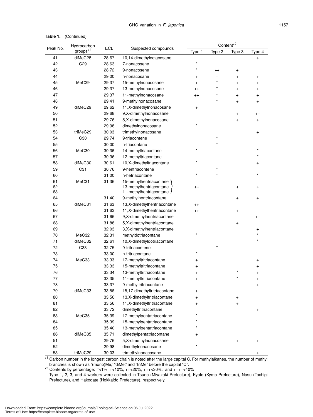| Table 1. | (Continued) |
|----------|-------------|
|----------|-------------|

|          | Hydrocarbon<br>$g$ roups $*^1$ | ECL   |                              |           | $Content*2$ |           |           |  |
|----------|--------------------------------|-------|------------------------------|-----------|-------------|-----------|-----------|--|
| Peak No. |                                |       | Suspected compounds          | Type 1    | Type 2      | Type 3    | Type 4    |  |
| 41       | diMeC28                        | 28.67 | 10,14-dimethyloctacosane     |           |             |           | $\ddot{}$ |  |
| 42       | C <sub>29</sub>                | 28.63 | 7-nonacosene                 |           |             |           |           |  |
| 43       |                                | 28.72 | 9-nonacosene                 |           | $^{++}$     | $^{+}$    |           |  |
| 44       |                                | 29.00 | n-nonacosane                 | $\ddot{}$ | $\ddot{}$   | $\ddot{}$ | $\ddot{}$ |  |
| 45       | MeC <sub>29</sub>              | 29.37 | 15-methylnonacosane          | $\ddot{}$ | $\star$     | $\ddot{}$ | $^{+}$    |  |
| 46       |                                | 29.37 | 13-methylnonacosane          | $^{++}$   | $\star$     | $\ddot{}$ | $\ddot{}$ |  |
| 47       |                                | 29.37 | 11-methylnonacosane          | $^{++}$   |             | $\ddot{}$ | $\ddot{}$ |  |
| 48       | 29.41                          |       | 9-methylnonacosane           |           |             | $\ddot{}$ | $\ddot{}$ |  |
| 49       | diMeC29<br>29.62               |       | 11, X-dimethylnonacosane     | $\ddot{}$ |             |           |           |  |
| 50       | 29.68                          |       | 9,X-dimethylnonacosane       |           |             | $\ddot{}$ | $^{++}$   |  |
| 51       |                                | 29.76 | 5,X-dimethylnonacosane       |           |             | $\ddot{}$ | $\ddot{}$ |  |
| 52       |                                | 29.98 | dimethylnonacosane           |           |             |           |           |  |
| 53       | triMeC29                       | 30.03 | trimethylnonacosane          |           |             |           | $\ddot{}$ |  |
| 54       | C <sub>30</sub>                | 29.74 | 9-triacontene                |           |             |           |           |  |
| 55       |                                | 30.00 | n-triacontane                |           |             |           |           |  |
| 56       | MeC30                          | 30.36 | 14-methyltriacontane         | $\star$   |             |           |           |  |
| 57       |                                | 30.36 | 12-methyltriacontane         |           |             |           |           |  |
| 58       | diMeC30                        | 30.61 | 10,X-dimethyltriacontane     |           |             |           | +         |  |
| 59       | C31                            | 30.76 | 9-hentriacontene             |           |             |           |           |  |
| 60       |                                | 31.00 | n-hetriacontane              |           |             |           |           |  |
| 61       | MeC31                          | 31.36 | 15-methylhentriacontane      |           |             |           |           |  |
| 62       |                                |       | 13-methylhentriacontane      | $^{++}$   |             | +         | +         |  |
| 63       |                                |       | 11-methylhentriacontane J    |           |             |           |           |  |
| 64       |                                | 31.40 | 9-methylhentriacontane       |           |             | $\ddot{}$ | $\ddot{}$ |  |
| 65       | diMeC31                        | 31.63 | 13, X-dimethylhentriacontane | $^{++}$   |             |           |           |  |
| 66       |                                | 31.63 | 11, X-dimethylhentriacontane | $^{++}$   |             | $\ddot{}$ |           |  |
| 67       |                                | 31.66 | 9,X-dimethylhentriacontane   |           |             |           | $^{++}$   |  |
| 68       |                                | 31.88 | 5, X-dimethylhentriacontane  |           |             | $\ddot{}$ |           |  |
| 69       |                                | 32.03 | 3,X-dimethylhentriacontane   |           |             |           | $\ddot{}$ |  |
| 70       | MeC32                          | 32.31 | methyldotriacontane          |           |             |           |           |  |
| 71       | diMeC32                        | 32.61 | 10,X-dimethyldotriacontane   |           |             |           |           |  |
| 72       | C <sub>33</sub>                | 32.75 | 9-tritriacontene             |           |             |           |           |  |
| 73       |                                | 33.00 | n-tritriacontane             |           |             |           |           |  |
| 74       | MeC33                          | 33.33 | 17-methyltritriacontane      | +         |             |           | +         |  |
| 75       |                                | 33.33 | 15-methyltritriacontane      | +         |             |           | +         |  |
| 76       |                                | 33.34 | 13-methyltritriacontane      | $\ddot{}$ |             |           | $\ddot{}$ |  |
| 77       |                                | 33.35 | 11-methyltritriacontane      | $\ddot{}$ |             |           | +         |  |
| 78       |                                | 33.37 | 9-methyltritriacontane       |           |             |           | $\ddot{}$ |  |
| 79       | diMeC33                        | 33.56 | 15,17-dimethyltritriacontane | $\ddot{}$ |             |           |           |  |
| 80       |                                | 33.56 | 13,X-dimethyltritriacontane  | $\ddot{}$ |             | $^{+}$    |           |  |
| 81       |                                | 33.56 | 11, X-dimethyltritriacontane | $\ddot{}$ |             | $\ddot{}$ |           |  |
| 82       |                                | 33.72 | dimethyltritriacontane       |           |             |           | $\pmb{+}$ |  |
| 83       | MeC35                          | 35.39 | 17-methylpentatriacontane    |           |             |           |           |  |
| 84       |                                | 35.39 | 15-methylpentatriacontane    |           |             |           |           |  |
| 85       |                                | 35.40 | 13-methylpentatriacontane    |           |             |           |           |  |
| 86       | diMeC35                        | 35.71 | dimethylpentatriacontane     |           |             |           |           |  |
| 51       |                                | 29.76 | 5,X-dimethylnonacosane       |           |             | $\ddot{}$ | +         |  |
| 52       |                                | 29.98 | dimethylnonacosane           |           |             |           |           |  |
| 53       | triMeC29                       | 30.03 | trimethylnonacosane          |           |             |           | $^{+}$    |  |

\* 1 Carbon number in the longest carbon chain is noted after the large capital C. For methylalkanes, the number of methyl branches is shown as "(mono)Me," "diMe," and "triMe" before the capital "C".

 $*^2$  Contents by percentage:  $*<1\%$ ,  $+<10\%$ ,  $++<20\%$ ,  $++<30\%$ , and  $+++<40\%$ 

Type 1, 2, 3, and 4 workers were collected in Tsuno (Miyazaki Prefecture), Kyoto (Kyoto Prefecture), Nasu (Tochigi Prefecture), and Hakodate (Hokkaido Prefecture), respectively.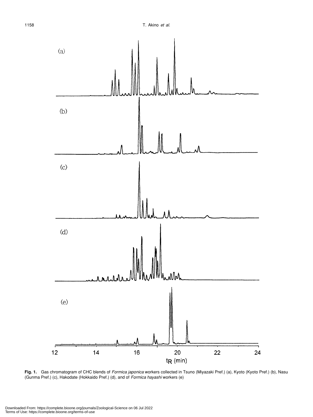

**Fig. 1.** Gas chromatogram of CHC blends of *Formica japonica* workers collected in Tsuno (Miyazaki Pref.) (a), Kyoto (Kyoto Pref.) (b), Nasu (Gunma Pref.) (c), Hakodate (Hokkaido Pref.) (d), and of *Formica hayashi* workers (e)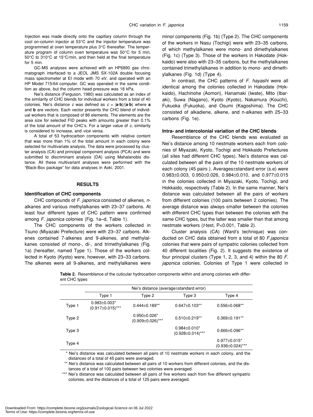Injection was made directly onto the capillary column through the cool on-column injector at 53°C and the injector temperature was programmed at oven temperature plus 3°C thereafter. The temperature program of column oven temperature was 50°C for 5 min, 50°C to 310°C at 15°C/min, and then held at the final temperature for 5 min.

GC-MS analyses were achieved with an HP6890 gas chromatograph interfaced to a JEOL JMS SX-102A double focusing mass spectrometer at EI mode with 70 eV, and operated with an HP Model 715/64 computer. GC was operated in the same condition as above, but the column head pressure was 18 kPa.

Nei's distance (Ferguson, 1980) was calculated as an index of the similarity of CHC blends for individual workers from a total of 40 colonies. Nei's distance *c* was defined as  $c = |\mathbf{a} \cdot \mathbf{b}|/(\mathbf{a} \cdot \mathbf{b})$  where **a** and **b** are vectors. Each vector presents the CHC blend of individual workers that is composed of 86 elements. The elements are the area size for selected FID peaks with amounts greater than 0.1% of the total amount of the CHC's. For a larger value of *c*, similarity is considered to increase, and *vice versa*.

A total of 53 hydrocarbon components with relative content that was more than 1% of the total amount in each colony were selected for multivariate analysis. The data were processed by cluster analysis (CA) and principal component analysis (PCA) and were submitted to discriminant analysis (DA) using Mahalanobis distance. All these multivariant analyses were performed with the "Black-Box package" for data analyses in Aoki, 2001.

#### **RESULTS**

#### **Identification of CHC components**

CHC compounds of *F. japonica* consisted of alkenes, *n*alkanes and various methylalkanes with 23–37 carbons. At least four different types of CHC pattern were confirmed among *F. japonica* colonies (Fig. 1a–d, Table 1).

The CHC components of the workers collected in Tsuno (Miyazaki Prefecture) were with 23–37 carbons. Alkenes contained 7-alkenes and 9-alkenes, and methylalkanes consisted of mono-, di-, and trimethylalkanes (Fig. 1a) (hereafter, named Type 1). Those of the workers collected in Kyoto (Kyoto) were, however, with 23–33 carbons. The alkenes were all 9-alkenes, and methylalkanes were minor components (Fig. 1b) (Type 2). The CHC components of the workers in Nasu (Tochigi) were with 23–35 carbons, of which methylalkanes were mono- and dimethylalkanes (Fig. 1c) (Type 3). Those of the workers in Hakodate (Hokkaido) were also with 23–35 carbons, but the methylalkanes contained trimethylalkanes in addition to mono- and dimethylalkanes (Fig. 1d) (Type 4).

In contrast, the CHC patterns of *F. hayashi* were all identical among the colonies collected in Hakodate (Hokkaido), Hachinohe (Aomori), Hanamaki (Iwate), Mito (Ibaraki), Suwa (Nagano), Kyoto (Kyoto), Nakamura (Kouchi), Fukuoka (Fukuoka), and Osumi (Kagoshima). The CHC consisted of alkadiene, alkene, and n-alkanes with 25–33 carbons (Fig. 1e).

#### **Intra- and intercolonial variation of the CHC blends**

Resemblance of the CHC blends was evaluated as Nei's distance among 10 nestmate workers each from colonies of Miyazaki, Kyoto, Tochigi and Hokkaido Prefectures (all sites had different CHC types). Nei's distance was calculated between all the pairs of the 10 nestmate workers of each colony (45 pairs ). Averages±standard error (s.e) were 0.983±0.003, 0.950±0.026, 0.984±0.010, and 0.977±0.015 in the colonies collected in Miyazaki, Kyoto, Tochigi, and Hokkaido, respectively (Table 2). In the same manner, Nei's distance was calculated between all the pairs of workers from different colonies (100 pairs between 2 colonies). The average distance was always smaller between the colonies with different CHC types than between the colonies with the same CHC types, but the latter was smaller than that among nestmate workers (*t*-test, P<0.001, Table 2).

Cluster analysis (CA) (Ward's technique) was conducted on CHC data obtained from a total of 80 *F.japonica* colonies that were pairs of sympatric colonies collected from 40 different localities (Fig. 2). It suggests the existence of four principal clusters (Type 1, 2, 3, and 4) within the 80 *F. japonica* colonies. Colonies of Type 1 were collected in

**Table 2.** Resemblance of the cuticular hydrocarbon components within and among colonies with different CHC types

|        | Nei's distance (average handard error)        |                                                |                                                |                                                |  |  |
|--------|-----------------------------------------------|------------------------------------------------|------------------------------------------------|------------------------------------------------|--|--|
|        | Type 1                                        | Type 2                                         | Type 3                                         | Type 4                                         |  |  |
| Type 1 | $0.983 \pm 0.003*$<br>$(0.917 \pm 0.015)$ *** | $0.444\pm0.189**$                              | $0.647 \pm 0.103$ **                           | $0.556 \pm 0.068$ **                           |  |  |
| Type 2 |                                               | $0.950 \pm 0.026$ *<br>$(0.909 \pm 0.026)$ *** | $0.510 \pm 0.219**$                            | $0.369 \pm 0.191$ **                           |  |  |
| Type 3 |                                               |                                                | $0.984 \pm 0.010^*$<br>$(0.928 \pm 0.014)$ *** | $0.666 \pm 0.096$ **                           |  |  |
| Type 4 |                                               |                                                |                                                | $0.977 \pm 0.015$ *<br>$(0.936 \pm 0.024)$ *** |  |  |

 \* Nei's distance was calculated between all pairs of 10 nestmate workers in each colony, and the distances of a total of 45 pairs were averaged.

\*\* Nei's distance was calculated between all pairs of 10 workers from different colonies, and the distances of a total of 100 pairs between two colonies were averaged.

\*\*\* Nei's distance was calculated between all pairs of five workers each from five different sympatric colonies, and the distances of a total of 125 pairs were averaged.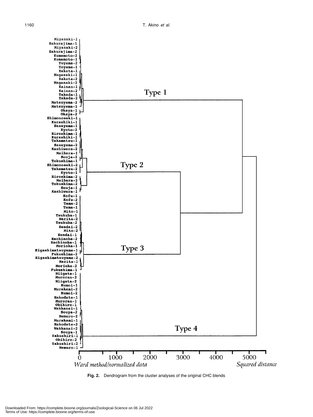

**Fig. 2.** Dendrogram from the cluster analyses of the original CHC blends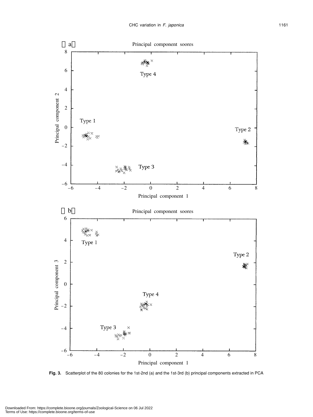

**Fig. 3.** Scatterplot of the 80 colonies for the 1st-2nd (a) and the 1st-3rd (b) principal components extracted in PCA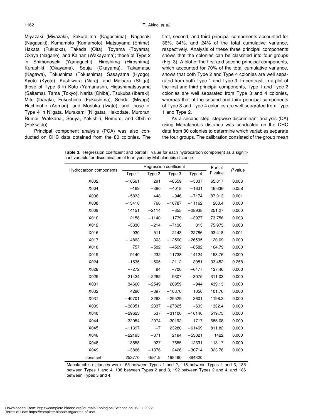Miyazaki (Miyazaki), Sakurajima (Kagoshima), Nagasaki (Nagasaki), Kumamoto (Kumamoto), Matsuyama (Ehime), Hakata (Fukuoka), Takeda (Oita), Toyama (Toyama), Okaya (Nagano), and Kainan (Wakayama); those of Type 2 in Shimonoseki (Yamaguchi), Hiroshima (Hiroshima), Kurashiki (Okayama), Souja (Okayama), Takamatsu (Kagawa), Tokushima (Tokushima), Sasayama (Hyogo), Kyoto (Kyoto), Kashiwara (Nara), and Maibara (Shiga); those of Type 3 in Kofu (Yamanashi), Higashimatsuyama (Saitama), Tama (Tokyo), Narita (Chiba), Tsukuba (Ibaraki), Mito (Ibaraki), Fukushima (Fukushima), Sendai (Miyagi), Hachinohe (Aomori), and Morioka (Iwate); and those of Type 4 in Niigata, Murakami (Niigata), Hakodate, Muroran, Rumoi, Wakkanai, Souya, Yakishiri, Nemuro, and Obihiro (Hokkaido).

Principal component analysis (PCA) was also conducted on CHC data obtained from the 80 colonies. The first, second, and third principal components accounted for 36%, 34%, and 24% of the total cumulative variance, respectively. Analysis of these three principal components shows that the colonies can be classified into four groups (Fig. 3). A plot of the first and second principal components, which accounted for 70% of the total cumulative variance, shows that both Type 2 and Type 4 colonies are well separated from both Type 1 and Type 3. In contrast, in a plot of the first and third principal components, Type 1 and Type 2 colonies are well separated from Type 3 and 4 colonies, whereas that of the second and third principal components of Type 3 and Type 4 colonies are well separated from Type 1 and Type 2.

As a second step, stepwise discriminant analysis (DA) using Mahalanobis distance was conducted on the CHC data from 80 colonies to determine which variables separate the four groups. The calibration consisted of the group mean

F value *<sup>P</sup>* value

**Table 3.** Regression coefficient and partial F value for each hydrocarbon component as a significant variable for discrimination of four types by Mahalanobis distance

Type 2

X002 –10561 291 –8559 –5037 65.017 0.008 X004 –169 –380 –4018 –1631 46.636 0.058 X006 –5833 448 –946 –7174 87.013 0.001 X008 –13418 766 –10787 –11162 200.4 0.000 X009 14151 –2114 –855 –28938 251.27 0.000 X010 2158 –1140 1779 –3977 73.756 0.003 X012 –5330 –214 –7136 813 75.973 0.003 X016 –930 511 2143 22786 93.418 0.001 X017 –14863 303 –12590 –26595 120.09 0.000 X018 757 –502 –4599 –8582 164.79 0.000 X019 –9140 –232 –11738 –14124 153.76 0.000 X024 –1535 –505 –2112 3081 33.452 0.258 X028 –7272 84 –706 –6477 127.46 0.000 X029 21424 –2282 9307 –3075 311.03 0.000

Hydrocarbon components <br>
Type 1 Type 2 Type 3 Type 4 F value

| X031                                                                                 | 34660    | $-2549$ | 20959    | $-944$   | 439.13 | 0.000 |  |
|--------------------------------------------------------------------------------------|----------|---------|----------|----------|--------|-------|--|
| X032                                                                                 | 4290     | $-397$  | $-10870$ | 1050     | 101.76 | 0.000 |  |
| X037                                                                                 | $-40701$ | 3283    | $-29529$ | 3601     | 1198.3 | 0.000 |  |
| X039                                                                                 | $-38351$ | 2337    | $-27825$ | $-693$   | 1332.4 | 0.000 |  |
| X040                                                                                 | $-29623$ | 537     | $-31106$ | $-16140$ | 519.75 | 0.000 |  |
| X044                                                                                 | $-32054$ | 2074    | $-30192$ | 1717     | 685.08 | 0.000 |  |
| X045                                                                                 | $-11397$ | $-7$    | 23280    | $-61469$ | 811.82 | 0.000 |  |
| X046                                                                                 | $-22195$ | $-871$  | 2184     | $-53021$ | 1422   | 0.000 |  |
| X048                                                                                 | 13658    | $-927$  | 7655     | 12391    | 118.17 | 0.000 |  |
| X049                                                                                 | $-3866$  | $-1376$ | 2426     | $-30714$ | 323.78 | 0.000 |  |
| constant                                                                             | 253770   | 4981.9  | 188460   | 384320   |        |       |  |
| Mahalanobis distances were 165 between Types 1 and 2, 118 between Types 1 and 3, 185 |          |         |          |          |        |       |  |
| between Types 1 and 4, 138 between Types 2 and 3, 192 between Types 2 and 4, and 186 |          |         |          |          |        |       |  |

between Types 3 and 4.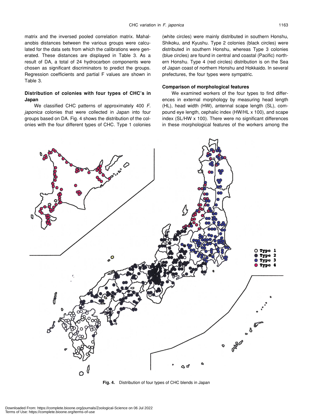matrix and the inversed pooled correlation matrix. Mahalanobis distances between the various groups were calculated for the data sets from which the calibrations were generated. These distances are displayed in Table 3. As a result of DA, a total of 24 hydrocarbon components were chosen as significant discriminators to predict the groups. Regression coefficients and partial F values are shown in Table 3.

## **Distribution of colonies with four types of CHC's in Japan**

We classified CHC patterns of approximately 400 *F. japonica* colonies that were collected in Japan into four groups based on DA. Fig. 4 shows the distribution of the colonies with the four different types of CHC. Type 1 colonies

(white circles) were mainly distributed in southern Honshu, Shikoku, and Kyushu. Type 2 colonies (black circles) were distributed in southern Honshu, whereas Type 3 colonies (blue circles) are found in central and coastal (Pacific) northern Honshu. Type 4 (red circles) distribution is on the Sea of Japan coast of northern Honshu and Hokkaido. In several prefectures, the four types were sympatric.

#### **Comparison of morphological features**

We examined workers of the four types to find differences in external morphology by measuring head length (HL), head width (HW), antennal scape length (SL), compound eye length, cephalic index (HW/HL x 100), and scape index (SL/HW x 100). There were no significant differences in these morphological features of the workers among the



**Fig. 4.** Distribution of four types of CHC blends in Japan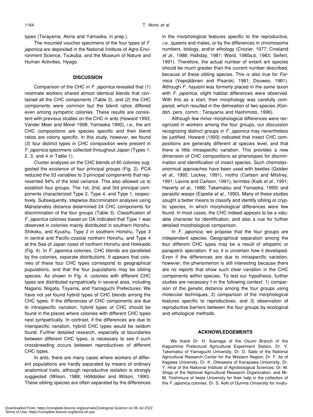types (Terayama, Akino and Yamaoka, in prep.).

The mounted voucher specimens of the four types of *F. japonica* are deposited in the National Institute of Agro-Environment Science, Tsukuba, and the Museum of Nature and Human Activities, Hyogo.

#### **DISCUSSION**

Comparison of the CHC in *F. japonica* revealed that (1) nestmate workers shared almost identical blends that contained all the CHC components (Table 2), and (2) the CHC components were common but the blend ratios differed even among sympatric colonies. These results are consistent with previous studies on the CHC in ants (Howard 1993; Vander Meer and Morel 1998; Yamaoka 1990), *i.e*., the ant CHC compositions are species specific and their blend ratios are colony specific. In this study, however, we found (3) four distinct types in CHC composition were present in *F. japonica* specimens collected throughout Japan (Types 1, 2, 3, and 4 in Table 1).

Cluster analyses on the CHC blends of 80 colonies suggested the existence of four principal groups (Fig. 2). PCA reduced the 53 variables to 3 principal components that represented 94% of the total variance. This also allowed us to establish four groups. The 1st, 2nd, and 3rd principal components characterized Type 2, Type 4, and Type 1, respectively. Subsequently, stepwise discrimination analyses using Mahalanobis distance determined 24 CHC components for discrimination of the four groups (Table 3). Classification of *F. japonica* colonies based on DA indicated that Type 1 was observed in colonies mainly distributed in southern Honshu, Shikoku, and Kyushu, Type 2 in southern Honshu, Type 3 in central and Pacific-coastal northern Honshu, and Type 4 at the Sea of Japan coast of northern Honshu and Hokkaido (Fig. 4). In *F. japonica* colonies, CHC blends are paralleled by the colonies, separate distributions. It appears that colonies of these four CHC types correspond to geographical pupulations, and that the four pupulations may be sibling species. As shown in Fig. 4, colonies with different CHC types are distributed sympatrically in several area, including Nagano, Niigata, Toyama, and Yamaguchi Prefectures. We have not yet found hybrid types of CHC blends among the CHC types. If the differences of CHC components are due to intraspecific variation, hybrid types of CHC should be found in the places where colonies with different CHC types nest sympatrically. In contrast, if the differences are due to interspecific variation, hybrid CHC types would be seldom found. Further detailed research, especially at boundaries between different CHC types, is necessary to see if such crossbreeding occurs between reproductives of different CHC types.

In ants, there are many cases where workers of different populations are hardly separated by means of ordinary anatomical traits, although reproductive isolation is strongly suggested (Wilson, 1988; Hölldobler and Wilson, 1990). These sibling species are often separated by the differences in the morphological features specific to the reproductive, *i.e*., queens and males, or by the differences in chromosome numbers, biology, and/or ethology (Crozier, 1977; Crosland *et al*., 1988; Halliday, 1981; Ward, 1980a,b, 1983; Seifert, 1991). Therefore, the actual number of extant ant species should be much greater than the current number described, because of these sibling species. This is also true for *Formica* (Vepsäläinen and Pisarski, 1981; Douwes, 1981). Although *F. hayashi* was formerly placed in the same taxon with *F. japonica*, slight habitat differences were observed. With this as a start, their morphology was carefully compared, which resulted in the delineation of two species (Kondoh, pers. comm.; Terayama and Hashimoto, 1996).

Although few minor morphological differences were recognized in workers among the four groups, our discussion recognizing distinct groups in *F. japonica* may nevertheless be justified. Howard (1993) indicated that insect CHC compositions are generally different at species level, and that there is little intraspecific variation. This provides a new dimension of CHC compositions as phenotypes for discrimination and identification of insect species. Such chemotaxonomical approaches have been used with beetles (Golden *et al*., 1992; Lockey, 1991), moths (Carlson and Milstrey, 1991; Lavine and Carlson, 1991), termites (Kaib *et al*., 1991; Haverty *et al*., 1988; Takematsu and Yamaoka, 1999) and parasitic wasps (Espelie *et al*., 1990). Many of these studies sought a better means to classify and identify sibling or cryptic species, in which morphological differences were few found. In most cases, the CHC indeed appears to be a valuable character for identification, and also a cue for further detailed morphological comparison.

In *F. japonica*, we propose that the four groups are independent species. Geographical separation among the four different CHC types may be a result of allopatric or parapatric speciation. If so, it is uncertain how it developed. Even if the differences are due to intraspecific variation, however, the phenomenon is still interesting because there are no reports that show such clear variation in the CHC components within species. To test our hypothesis, further studies are necessary f in the following context: 1) comparison of the genetic distance among the four groups using molecular techniques, 2) comparison of the morphological features specific to reproductives, and 3) observation of reproductive barriers between the four groups by ecological and ethological methods.

#### **ACKNOWLEDGEMENTS**

We thank Dr. H. Suenaga of the Osumi Branch of the Kagoshima Prefectural Agricultural Experiment Station, Dr. Y. Takematsu of Yamaguchi University, Dr. O. Saito of the National Agricultural Research Center for the Western Region, Dr. F. Ito of Kagawa University, Dr. K. Ohkawara of Kanazawa Univerisity, Dr. Y. Hirai of the Natioinal Institute of Agrobiological Sciences, Dr. M. Shiga of the National Agricultural Research Organization, and Mr. M. Yoshimura of Iwate University for their help in the collection of the *F. japonica* colonies, Dr. S. Aoki of Gunma University for invalu-